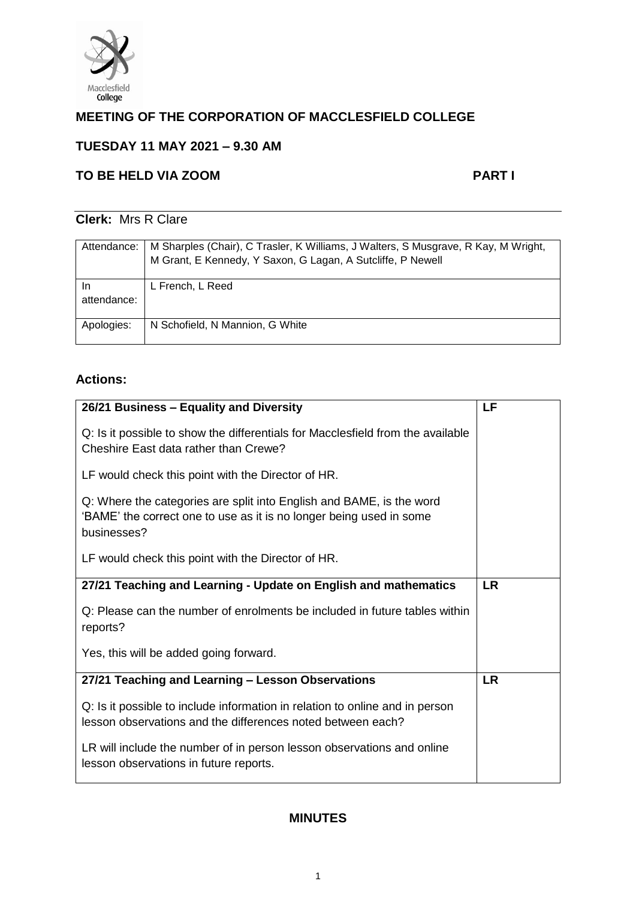

# **MEETING OF THE CORPORATION OF MACCLESFIELD COLLEGE**

# **TUESDAY 11 MAY 2021 – 9.30 AM**

# **TO BE HELD VIA ZOOM PART I**

# **Clerk:** Mrs R Clare

| Attendance:       | M Sharples (Chair), C Trasler, K Williams, J Walters, S Musgrave, R Kay, M Wright,<br>M Grant, E Kennedy, Y Saxon, G Lagan, A Sutcliffe, P Newell |
|-------------------|---------------------------------------------------------------------------------------------------------------------------------------------------|
| In<br>attendance: | L French, L Reed                                                                                                                                  |
| Apologies:        | N Schofield, N Mannion, G White                                                                                                                   |

# **Actions:**

| 26/21 Business - Equality and Diversity                                                                                                                    | LF        |
|------------------------------------------------------------------------------------------------------------------------------------------------------------|-----------|
| Q: Is it possible to show the differentials for Macclesfield from the available<br>Cheshire East data rather than Crewe?                                   |           |
| LF would check this point with the Director of HR.                                                                                                         |           |
| Q: Where the categories are split into English and BAME, is the word<br>'BAME' the correct one to use as it is no longer being used in some<br>businesses? |           |
| LF would check this point with the Director of HR.                                                                                                         |           |
| 27/21 Teaching and Learning - Update on English and mathematics                                                                                            | <b>LR</b> |
| Q: Please can the number of enrolments be included in future tables within<br>reports?                                                                     |           |
| Yes, this will be added going forward.                                                                                                                     |           |
| 27/21 Teaching and Learning - Lesson Observations                                                                                                          | <b>LR</b> |
| Q: Is it possible to include information in relation to online and in person<br>lesson observations and the differences noted between each?                |           |
| LR will include the number of in person lesson observations and online<br>lesson observations in future reports.                                           |           |

# **MINUTES**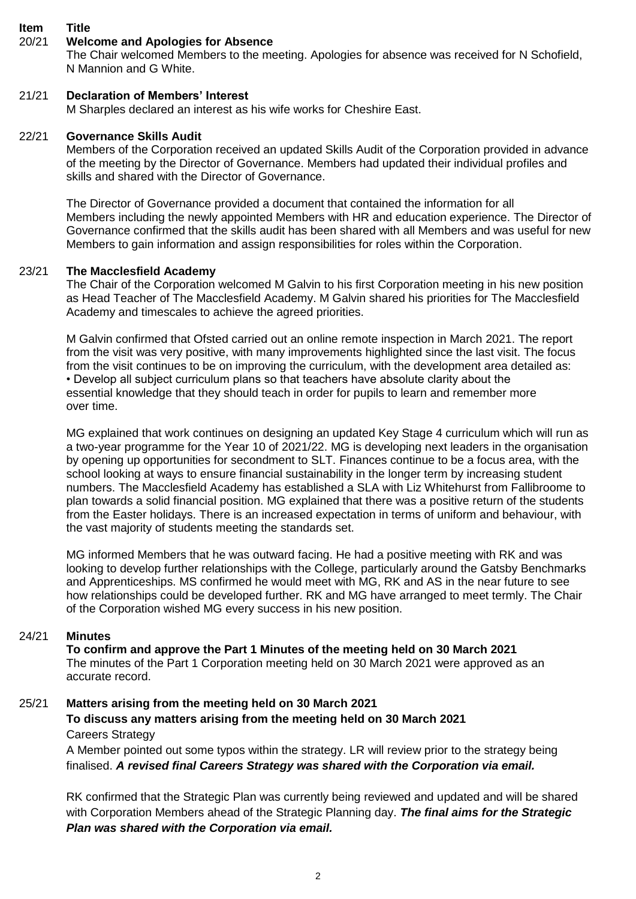#### **Item Title**

# 20/21 **Welcome and Apologies for Absence**

The Chair welcomed Members to the meeting. Apologies for absence was received for N Schofield, N Mannion and G White.

# 21/21 **Declaration of Members' Interest**

M Sharples declared an interest as his wife works for Cheshire East.

# 22/21 **Governance Skills Audit**

Members of the Corporation received an updated Skills Audit of the Corporation provided in advance of the meeting by the Director of Governance. Members had updated their individual profiles and skills and shared with the Director of Governance.

The Director of Governance provided a document that contained the information for all Members including the newly appointed Members with HR and education experience. The Director of Governance confirmed that the skills audit has been shared with all Members and was useful for new Members to gain information and assign responsibilities for roles within the Corporation.

# 23/21 **The Macclesfield Academy**

The Chair of the Corporation welcomed M Galvin to his first Corporation meeting in his new position as Head Teacher of The Macclesfield Academy. M Galvin shared his priorities for The Macclesfield Academy and timescales to achieve the agreed priorities.

M Galvin confirmed that Ofsted carried out an online remote inspection in March 2021. The report from the visit was very positive, with many improvements highlighted since the last visit. The focus from the visit continues to be on improving the curriculum, with the development area detailed as: • Develop all subject curriculum plans so that teachers have absolute clarity about the essential knowledge that they should teach in order for pupils to learn and remember more over time.

MG explained that work continues on designing an updated Key Stage 4 curriculum which will run as a two-year programme for the Year 10 of 2021/22. MG is developing next leaders in the organisation by opening up opportunities for secondment to SLT. Finances continue to be a focus area, with the school looking at ways to ensure financial sustainability in the longer term by increasing student numbers. The Macclesfield Academy has established a SLA with Liz Whitehurst from Fallibroome to plan towards a solid financial position. MG explained that there was a positive return of the students from the Easter holidays. There is an increased expectation in terms of uniform and behaviour, with the vast majority of students meeting the standards set.

MG informed Members that he was outward facing. He had a positive meeting with RK and was looking to develop further relationships with the College, particularly around the Gatsby Benchmarks and Apprenticeships. MS confirmed he would meet with MG, RK and AS in the near future to see how relationships could be developed further. RK and MG have arranged to meet termly. The Chair of the Corporation wished MG every success in his new position.

# 24/21 **Minutes**

**To confirm and approve the Part 1 Minutes of the meeting held on 30 March 2021** The minutes of the Part 1 Corporation meeting held on 30 March 2021 were approved as an accurate record.

#### 25/21 **Matters arising from the meeting held on 30 March 2021 To discuss any matters arising from the meeting held on 30 March 2021**

# Careers Strategy

A Member pointed out some typos within the strategy. LR will review prior to the strategy being finalised. *A revised final Careers Strategy was shared with the Corporation via email.* 

RK confirmed that the Strategic Plan was currently being reviewed and updated and will be shared with Corporation Members ahead of the Strategic Planning day. *The final aims for the Strategic Plan was shared with the Corporation via email.*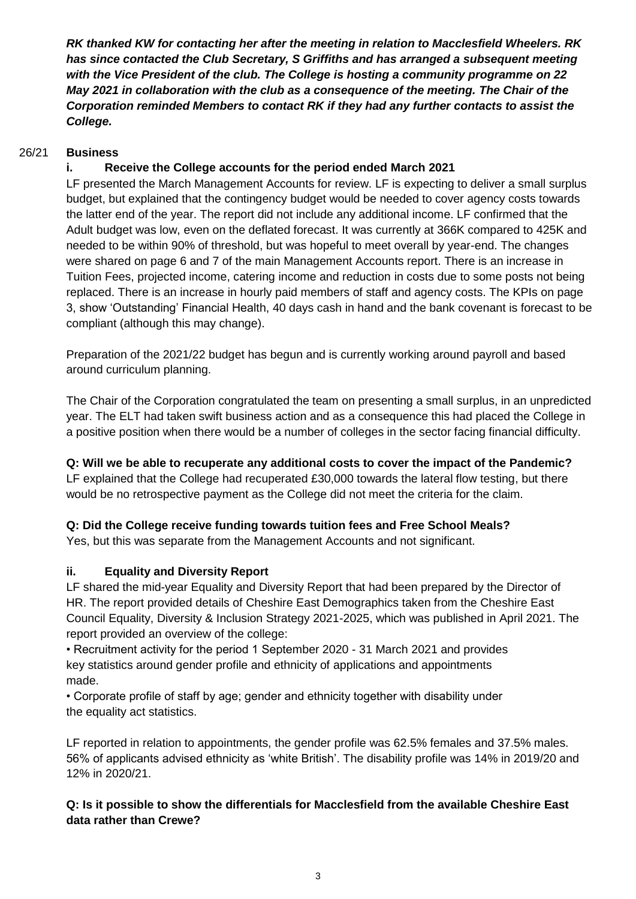*RK thanked KW for contacting her after the meeting in relation to Macclesfield Wheelers. RK has since contacted the Club Secretary, S Griffiths and has arranged a subsequent meeting with the Vice President of the club. The College is hosting a community programme on 22 May 2021 in collaboration with the club as a consequence of the meeting. The Chair of the Corporation reminded Members to contact RK if they had any further contacts to assist the College.* 

### 26/21 **Business**

# **i. Receive the College accounts for the period ended March 2021**

LF presented the March Management Accounts for review. LF is expecting to deliver a small surplus budget, but explained that the contingency budget would be needed to cover agency costs towards the latter end of the year. The report did not include any additional income. LF confirmed that the Adult budget was low, even on the deflated forecast. It was currently at 366K compared to 425K and needed to be within 90% of threshold, but was hopeful to meet overall by year-end. The changes were shared on page 6 and 7 of the main Management Accounts report. There is an increase in Tuition Fees, projected income, catering income and reduction in costs due to some posts not being replaced. There is an increase in hourly paid members of staff and agency costs. The KPIs on page 3, show 'Outstanding' Financial Health, 40 days cash in hand and the bank covenant is forecast to be compliant (although this may change).

Preparation of the 2021/22 budget has begun and is currently working around payroll and based around curriculum planning.

The Chair of the Corporation congratulated the team on presenting a small surplus, in an unpredicted year. The ELT had taken swift business action and as a consequence this had placed the College in a positive position when there would be a number of colleges in the sector facing financial difficulty.

**Q: Will we be able to recuperate any additional costs to cover the impact of the Pandemic?**  LF explained that the College had recuperated £30,000 towards the lateral flow testing, but there would be no retrospective payment as the College did not meet the criteria for the claim.

# **Q: Did the College receive funding towards tuition fees and Free School Meals?**

Yes, but this was separate from the Management Accounts and not significant.

# **ii. Equality and Diversity Report**

LF shared the mid-year Equality and Diversity Report that had been prepared by the Director of HR. The report provided details of Cheshire East Demographics taken from the Cheshire East Council Equality, Diversity & Inclusion Strategy 2021-2025, which was published in April 2021. The report provided an overview of the college:

• Recruitment activity for the period 1 September 2020 - 31 March 2021 and provides key statistics around gender profile and ethnicity of applications and appointments made.

• Corporate profile of staff by age; gender and ethnicity together with disability under the equality act statistics.

LF reported in relation to appointments, the gender profile was 62.5% females and 37.5% males. 56% of applicants advised ethnicity as 'white British'. The disability profile was 14% in 2019/20 and 12% in 2020/21.

# **Q: Is it possible to show the differentials for Macclesfield from the available Cheshire East data rather than Crewe?**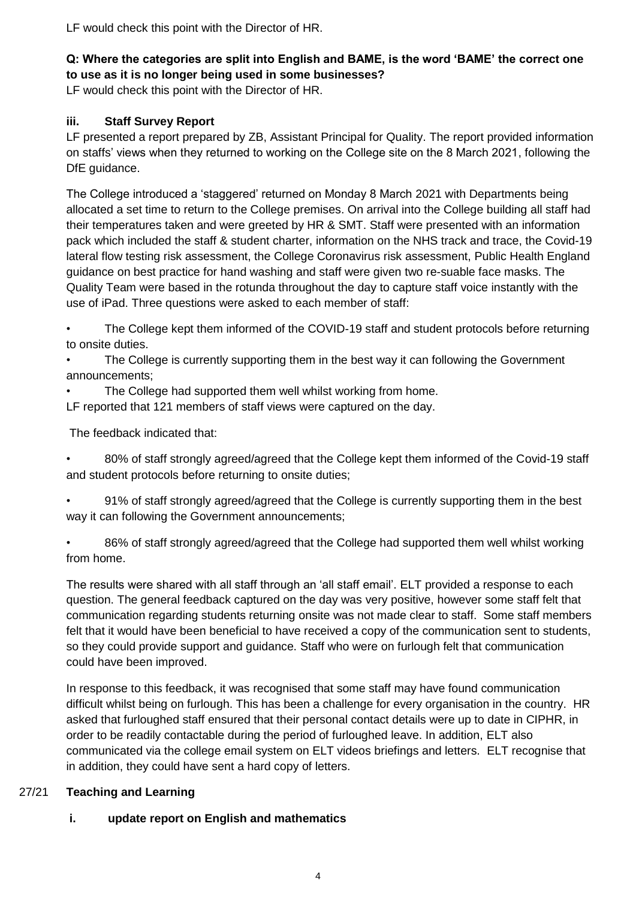LF would check this point with the Director of HR.

# **Q: Where the categories are split into English and BAME, is the word 'BAME' the correct one to use as it is no longer being used in some businesses?**

LF would check this point with the Director of HR.

# **iii. Staff Survey Report**

LF presented a report prepared by ZB, Assistant Principal for Quality. The report provided information on staffs' views when they returned to working on the College site on the 8 March 2021, following the DfE quidance.

The College introduced a 'staggered' returned on Monday 8 March 2021 with Departments being allocated a set time to return to the College premises. On arrival into the College building all staff had their temperatures taken and were greeted by HR & SMT. Staff were presented with an information pack which included the staff & student charter, information on the NHS track and trace, the Covid-19 lateral flow testing risk assessment, the College Coronavirus risk assessment, Public Health England guidance on best practice for hand washing and staff were given two re-suable face masks. The Quality Team were based in the rotunda throughout the day to capture staff voice instantly with the use of iPad. Three questions were asked to each member of staff:

• The College kept them informed of the COVID-19 staff and student protocols before returning to onsite duties.

The College is currently supporting them in the best way it can following the Government announcements;

- The College had supported them well whilst working from home.
- LF reported that 121 members of staff views were captured on the day.

The feedback indicated that:

• 80% of staff strongly agreed/agreed that the College kept them informed of the Covid-19 staff and student protocols before returning to onsite duties;

• 91% of staff strongly agreed/agreed that the College is currently supporting them in the best way it can following the Government announcements;

• 86% of staff strongly agreed/agreed that the College had supported them well whilst working from home.

The results were shared with all staff through an 'all staff email'. ELT provided a response to each question. The general feedback captured on the day was very positive, however some staff felt that communication regarding students returning onsite was not made clear to staff. Some staff members felt that it would have been beneficial to have received a copy of the communication sent to students, so they could provide support and guidance. Staff who were on furlough felt that communication could have been improved.

In response to this feedback, it was recognised that some staff may have found communication difficult whilst being on furlough. This has been a challenge for every organisation in the country. HR asked that furloughed staff ensured that their personal contact details were up to date in CIPHR, in order to be readily contactable during the period of furloughed leave. In addition, ELT also communicated via the college email system on ELT videos briefings and letters. ELT recognise that in addition, they could have sent a hard copy of letters.

# 27/21 **Teaching and Learning**

# **i. update report on English and mathematics**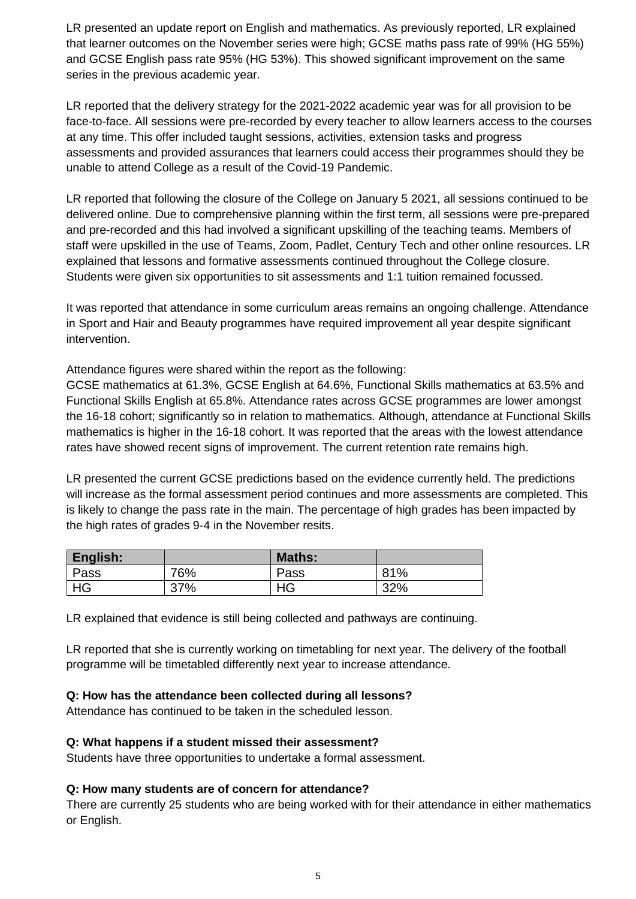LR presented an update report on English and mathematics. As previously reported, LR explained that learner outcomes on the November series were high; GCSE maths pass rate of 99% (HG 55%) and GCSE English pass rate 95% (HG 53%). This showed significant improvement on the same series in the previous academic year.

LR reported that the delivery strategy for the 2021-2022 academic year was for all provision to be face-to-face. All sessions were pre-recorded by every teacher to allow learners access to the courses at any time. This offer included taught sessions, activities, extension tasks and progress assessments and provided assurances that learners could access their programmes should they be unable to attend College as a result of the Covid-19 Pandemic.

LR reported that following the closure of the College on January 5 2021, all sessions continued to be delivered online. Due to comprehensive planning within the first term, all sessions were pre-prepared and pre-recorded and this had involved a significant upskilling of the teaching teams. Members of staff were upskilled in the use of Teams, Zoom, Padlet, Century Tech and other online resources. LR explained that lessons and formative assessments continued throughout the College closure. Students were given six opportunities to sit assessments and 1:1 tuition remained focussed.

It was reported that attendance in some curriculum areas remains an ongoing challenge. Attendance in Sport and Hair and Beauty programmes have required improvement all year despite significant intervention.

Attendance figures were shared within the report as the following:

GCSE mathematics at 61.3%, GCSE English at 64.6%, Functional Skills mathematics at 63.5% and Functional Skills English at 65.8%. Attendance rates across GCSE programmes are lower amongst the 16-18 cohort; significantly so in relation to mathematics. Although, attendance at Functional Skills mathematics is higher in the 16-18 cohort. It was reported that the areas with the lowest attendance rates have showed recent signs of improvement. The current retention rate remains high.

LR presented the current GCSE predictions based on the evidence currently held. The predictions will increase as the formal assessment period continues and more assessments are completed. This is likely to change the pass rate in the main. The percentage of high grades has been impacted by the high rates of grades 9-4 in the November resits.

| English: |     | <b>Maths:</b> |     |
|----------|-----|---------------|-----|
| Pass     | 76% | Pass          | 81% |
| HG       | 37% | HG            | 32% |

LR explained that evidence is still being collected and pathways are continuing.

LR reported that she is currently working on timetabling for next year. The delivery of the football programme will be timetabled differently next year to increase attendance.

#### **Q: How has the attendance been collected during all lessons?**

Attendance has continued to be taken in the scheduled lesson.

#### **Q: What happens if a student missed their assessment?**

Students have three opportunities to undertake a formal assessment.

#### **Q: How many students are of concern for attendance?**

There are currently 25 students who are being worked with for their attendance in either mathematics or English.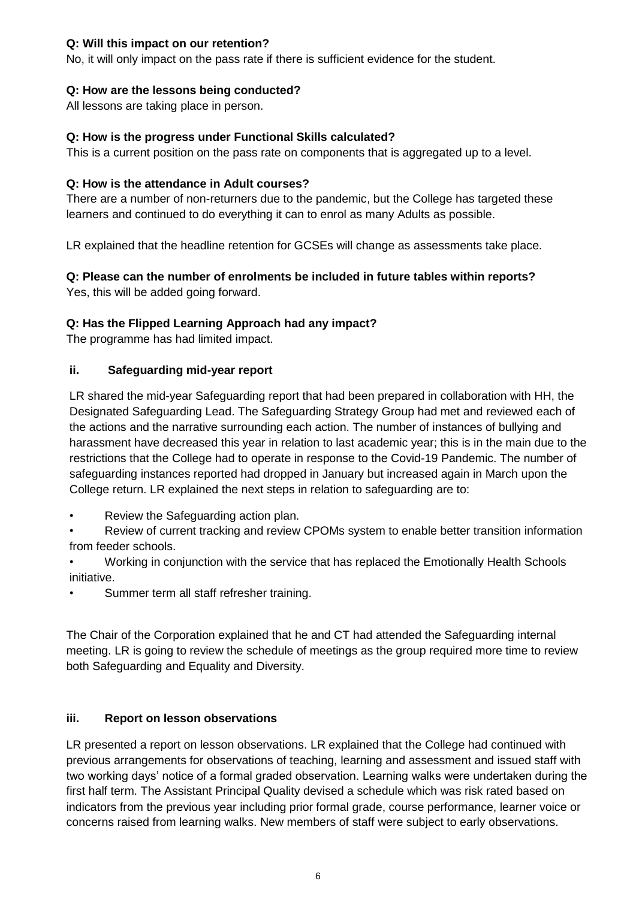### **Q: Will this impact on our retention?**

No, it will only impact on the pass rate if there is sufficient evidence for the student.

### **Q: How are the lessons being conducted?**

All lessons are taking place in person.

### **Q: How is the progress under Functional Skills calculated?**

This is a current position on the pass rate on components that is aggregated up to a level.

### **Q: How is the attendance in Adult courses?**

There are a number of non-returners due to the pandemic, but the College has targeted these learners and continued to do everything it can to enrol as many Adults as possible.

LR explained that the headline retention for GCSEs will change as assessments take place.

# **Q: Please can the number of enrolments be included in future tables within reports?**

Yes, this will be added going forward.

# **Q: Has the Flipped Learning Approach had any impact?**

The programme has had limited impact.

# **ii. Safeguarding mid-year report**

LR shared the mid-year Safeguarding report that had been prepared in collaboration with HH, the Designated Safeguarding Lead. The Safeguarding Strategy Group had met and reviewed each of the actions and the narrative surrounding each action. The number of instances of bullying and harassment have decreased this year in relation to last academic year; this is in the main due to the restrictions that the College had to operate in response to the Covid-19 Pandemic. The number of safeguarding instances reported had dropped in January but increased again in March upon the College return. LR explained the next steps in relation to safeguarding are to:

• Review the Safeguarding action plan.

• Review of current tracking and review CPOMs system to enable better transition information from feeder schools.

• Working in conjunction with the service that has replaced the Emotionally Health Schools initiative.

Summer term all staff refresher training.

The Chair of the Corporation explained that he and CT had attended the Safeguarding internal meeting. LR is going to review the schedule of meetings as the group required more time to review both Safeguarding and Equality and Diversity.

# **iii. Report on lesson observations**

LR presented a report on lesson observations. LR explained that the College had continued with previous arrangements for observations of teaching, learning and assessment and issued staff with two working days' notice of a formal graded observation. Learning walks were undertaken during the first half term. The Assistant Principal Quality devised a schedule which was risk rated based on indicators from the previous year including prior formal grade, course performance, learner voice or concerns raised from learning walks. New members of staff were subject to early observations.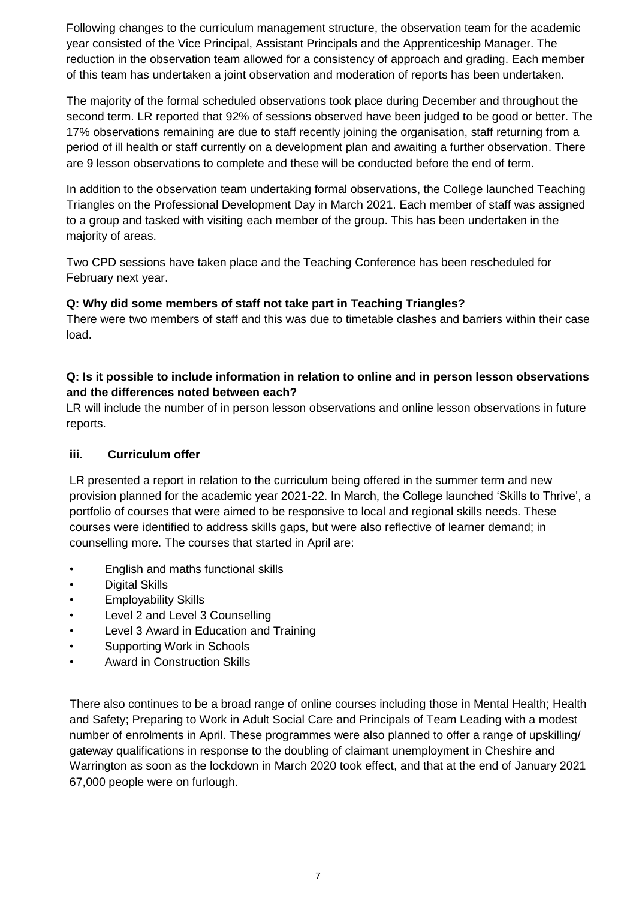Following changes to the curriculum management structure, the observation team for the academic year consisted of the Vice Principal, Assistant Principals and the Apprenticeship Manager. The reduction in the observation team allowed for a consistency of approach and grading. Each member of this team has undertaken a joint observation and moderation of reports has been undertaken.

The majority of the formal scheduled observations took place during December and throughout the second term. LR reported that 92% of sessions observed have been judged to be good or better. The 17% observations remaining are due to staff recently joining the organisation, staff returning from a period of ill health or staff currently on a development plan and awaiting a further observation. There are 9 lesson observations to complete and these will be conducted before the end of term.

In addition to the observation team undertaking formal observations, the College launched Teaching Triangles on the Professional Development Day in March 2021. Each member of staff was assigned to a group and tasked with visiting each member of the group. This has been undertaken in the majority of areas.

Two CPD sessions have taken place and the Teaching Conference has been rescheduled for February next year.

### **Q: Why did some members of staff not take part in Teaching Triangles?**

There were two members of staff and this was due to timetable clashes and barriers within their case load.

# **Q: Is it possible to include information in relation to online and in person lesson observations and the differences noted between each?**

LR will include the number of in person lesson observations and online lesson observations in future reports.

#### **iii. Curriculum offer**

LR presented a report in relation to the curriculum being offered in the summer term and new provision planned for the academic year 2021-22. In March, the College launched 'Skills to Thrive', a portfolio of courses that were aimed to be responsive to local and regional skills needs. These courses were identified to address skills gaps, but were also reflective of learner demand; in counselling more. The courses that started in April are:

- English and maths functional skills
- Digital Skills
- Employability Skills
- Level 2 and Level 3 Counselling
- Level 3 Award in Education and Training
- Supporting Work in Schools
- Award in Construction Skills

There also continues to be a broad range of online courses including those in Mental Health; Health and Safety; Preparing to Work in Adult Social Care and Principals of Team Leading with a modest number of enrolments in April. These programmes were also planned to offer a range of upskilling/ gateway qualifications in response to the doubling of claimant unemployment in Cheshire and Warrington as soon as the lockdown in March 2020 took effect, and that at the end of January 2021 67,000 people were on furlough.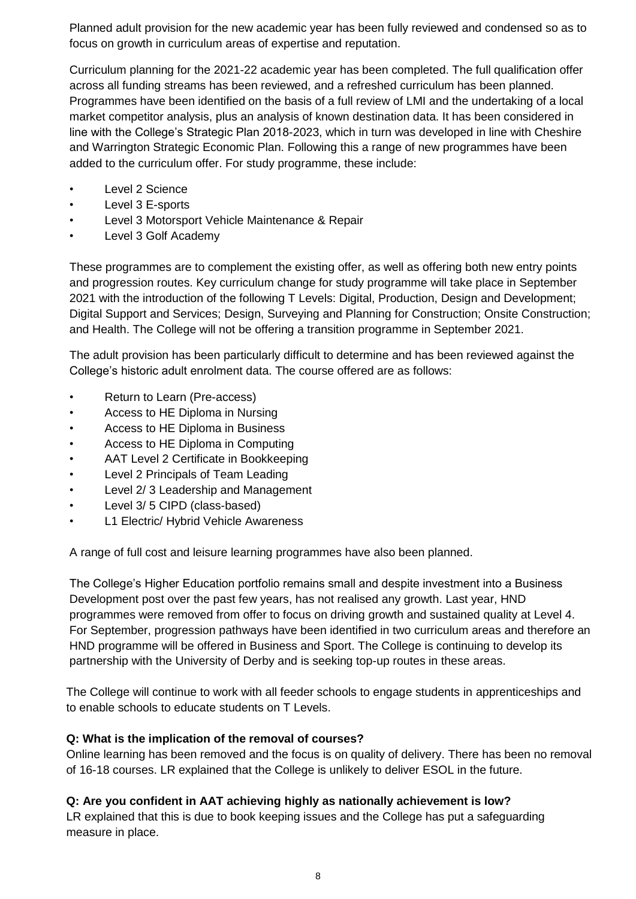Planned adult provision for the new academic year has been fully reviewed and condensed so as to focus on growth in curriculum areas of expertise and reputation.

Curriculum planning for the 2021-22 academic year has been completed. The full qualification offer across all funding streams has been reviewed, and a refreshed curriculum has been planned. Programmes have been identified on the basis of a full review of LMI and the undertaking of a local market competitor analysis, plus an analysis of known destination data. It has been considered in line with the College's Strategic Plan 2018-2023, which in turn was developed in line with Cheshire and Warrington Strategic Economic Plan. Following this a range of new programmes have been added to the curriculum offer. For study programme, these include:

- Level 2 Science
- Level 3 E-sports
- Level 3 Motorsport Vehicle Maintenance & Repair
- Level 3 Golf Academy

These programmes are to complement the existing offer, as well as offering both new entry points and progression routes. Key curriculum change for study programme will take place in September 2021 with the introduction of the following T Levels: Digital, Production, Design and Development; Digital Support and Services; Design, Surveying and Planning for Construction; Onsite Construction; and Health. The College will not be offering a transition programme in September 2021.

The adult provision has been particularly difficult to determine and has been reviewed against the College's historic adult enrolment data. The course offered are as follows:

- Return to Learn (Pre-access)
- Access to HE Diploma in Nursing
- Access to HE Diploma in Business
- Access to HE Diploma in Computing
- AAT Level 2 Certificate in Bookkeeping
- Level 2 Principals of Team Leading
- Level 2/ 3 Leadership and Management
- Level 3/ 5 CIPD (class-based)
- L1 Electric/ Hybrid Vehicle Awareness

A range of full cost and leisure learning programmes have also been planned.

The College's Higher Education portfolio remains small and despite investment into a Business Development post over the past few years, has not realised any growth. Last year, HND programmes were removed from offer to focus on driving growth and sustained quality at Level 4. For September, progression pathways have been identified in two curriculum areas and therefore an HND programme will be offered in Business and Sport. The College is continuing to develop its partnership with the University of Derby and is seeking top-up routes in these areas.

The College will continue to work with all feeder schools to engage students in apprenticeships and to enable schools to educate students on T Levels.

# **Q: What is the implication of the removal of courses?**

Online learning has been removed and the focus is on quality of delivery. There has been no removal of 16-18 courses. LR explained that the College is unlikely to deliver ESOL in the future.

# **Q: Are you confident in AAT achieving highly as nationally achievement is low?**

LR explained that this is due to book keeping issues and the College has put a safeguarding measure in place.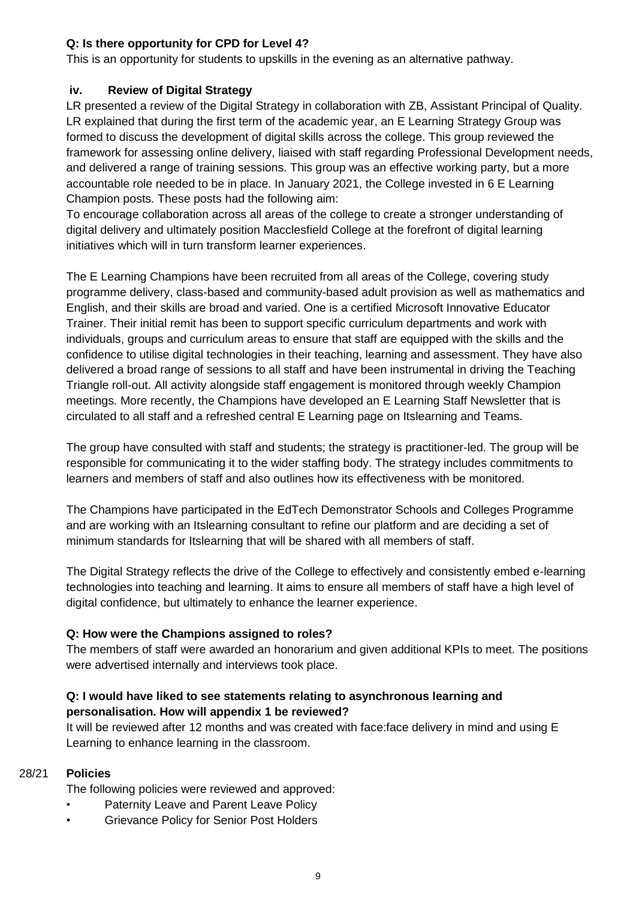# **Q: Is there opportunity for CPD for Level 4?**

This is an opportunity for students to upskills in the evening as an alternative pathway.

### **iv. Review of Digital Strategy**

LR presented a review of the Digital Strategy in collaboration with ZB, Assistant Principal of Quality. LR explained that during the first term of the academic year, an E Learning Strategy Group was formed to discuss the development of digital skills across the college. This group reviewed the framework for assessing online delivery, liaised with staff regarding Professional Development needs, and delivered a range of training sessions. This group was an effective working party, but a more accountable role needed to be in place. In January 2021, the College invested in 6 E Learning Champion posts. These posts had the following aim:

To encourage collaboration across all areas of the college to create a stronger understanding of digital delivery and ultimately position Macclesfield College at the forefront of digital learning initiatives which will in turn transform learner experiences.

The E Learning Champions have been recruited from all areas of the College, covering study programme delivery, class-based and community-based adult provision as well as mathematics and English, and their skills are broad and varied. One is a certified Microsoft Innovative Educator Trainer. Their initial remit has been to support specific curriculum departments and work with individuals, groups and curriculum areas to ensure that staff are equipped with the skills and the confidence to utilise digital technologies in their teaching, learning and assessment. They have also delivered a broad range of sessions to all staff and have been instrumental in driving the Teaching Triangle roll-out. All activity alongside staff engagement is monitored through weekly Champion meetings. More recently, the Champions have developed an E Learning Staff Newsletter that is circulated to all staff and a refreshed central E Learning page on Itslearning and Teams.

The group have consulted with staff and students; the strategy is practitioner-led. The group will be responsible for communicating it to the wider staffing body. The strategy includes commitments to learners and members of staff and also outlines how its effectiveness with be monitored.

The Champions have participated in the EdTech Demonstrator Schools and Colleges Programme and are working with an Itslearning consultant to refine our platform and are deciding a set of minimum standards for Itslearning that will be shared with all members of staff.

The Digital Strategy reflects the drive of the College to effectively and consistently embed e-learning technologies into teaching and learning. It aims to ensure all members of staff have a high level of digital confidence, but ultimately to enhance the learner experience.

# **Q: How were the Champions assigned to roles?**

The members of staff were awarded an honorarium and given additional KPIs to meet. The positions were advertised internally and interviews took place.

# **Q: I would have liked to see statements relating to asynchronous learning and personalisation. How will appendix 1 be reviewed?**

It will be reviewed after 12 months and was created with face:face delivery in mind and using E Learning to enhance learning in the classroom.

# 28/21 **Policies**

The following policies were reviewed and approved:

- Paternity Leave and Parent Leave Policy
- Grievance Policy for Senior Post Holders